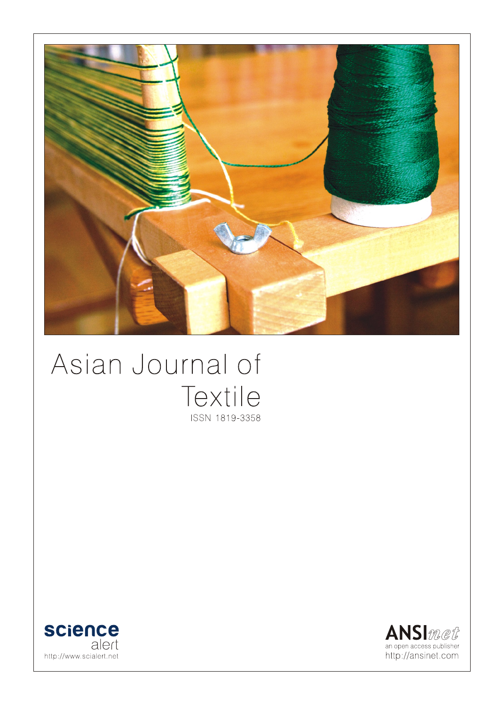

# Asian Journal of Textile ISSN 1819-3358



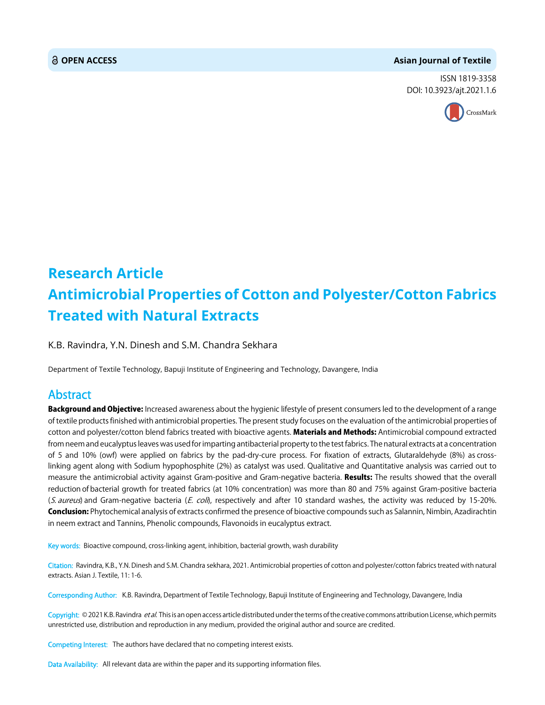#### **OPEN ACCESS Asian Journal of Textile**

ISSN 1819-3358 DOI: 10.3923/ajt.2021.1.6



## **Research Article Antimicrobial Properties of Cotton and Polyester/Cotton Fabrics Treated with Natural Extracts**

K.B. Ravindra, Y.N. Dinesh and S.M. Chandra Sekhara

Department of Textile Technology, Bapuji Institute of Engineering and Technology, Davangere, India

### Abstract

Background and Objective: Increased awareness about the hygienic lifestyle of present consumers led to the development of a range of textile products finished with antimicrobial properties. The present study focuses on the evaluation of the antimicrobial properties of cotton and polyester/cotton blend fabrics treated with bioactive agents. Materials and Methods: Antimicrobial compound extracted from neem and eucalyptus leaves was used for imparting antibacterial property to the test fabrics. The natural extracts at a concentration of 5 and 10% (owf) were applied on fabrics by the pad-dry-cure process. For fixation of extracts, Glutaraldehyde (8%) as crosslinking agent along with Sodium hypophosphite (2%) as catalyst was used. Qualitative and Quantitative analysis was carried out to measure the antimicrobial activity against Gram-positive and Gram-negative bacteria. Results: The results showed that the overall reduction of bacterial growth for treated fabrics (at 10% concentration) was more than 80 and 75% against Gram-positive bacteria (S. aureus) and Gram-negative bacteria (E. coli), respectively and after 10 standard washes, the activity was reduced by 15-20%. **Conclusion:** Phytochemical analysis of extracts confirmed the presence of bioactive compounds such as Salannin, Nimbin, Azadirachtin in neem extract and Tannins, Phenolic compounds, Flavonoids in eucalyptus extract.

Key words: Bioactive compound, cross-linking agent, inhibition, bacterial growth, wash durability

Citation: Ravindra, K.B., Y.N. Dinesh and S.M. Chandra sekhara, 2021. Antimicrobial properties of cotton and polyester/cotton fabrics treated with natural extracts. Asian J. Textile, 11: 1-6.

Corresponding Author: K.B. Ravindra, Department of Textile Technology, Bapuji Institute of Engineering and Technology, Davangere, India

Copyright: © 2021 K.B. Ravindra *et al.* This is an open access article distributed under the terms of the creative commons attribution License, which permits unrestricted use, distribution and reproduction in any medium, provided the original author and source are credited.

Competing Interest: The authors have declared that no competing interest exists.

Data Availability: All relevant data are within the paper and its supporting information files.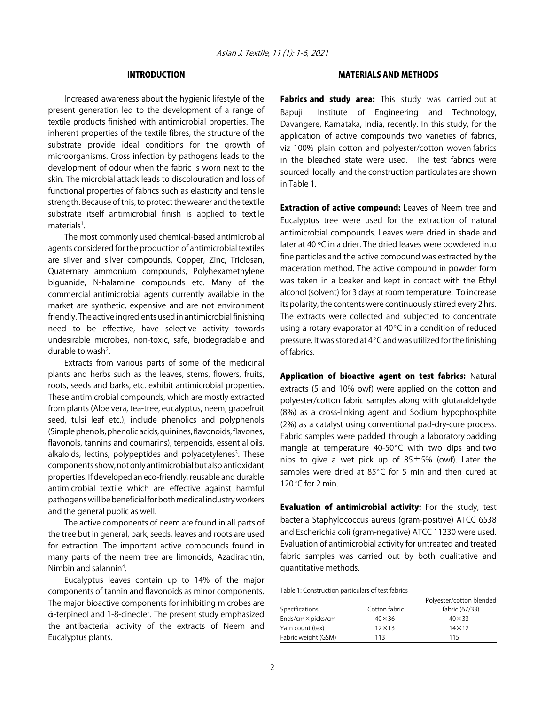#### INTRODUCTION

Increased awareness about the hygienic lifestyle of the present generation led to the development of a range of textile products finished with antimicrobial properties. The inherent properties of the textile fibres, the structure of the substrate provide ideal conditions for the growth of microorganisms. Cross infection by pathogens leads to the development of odour when the fabric is worn next to the skin. The microbial attack leads to discolouration and loss of functional properties of fabrics such as elasticity and tensile strength. Because of this, to protect the wearer and the textile substrate itself antimicrobial finish is applied to textile materials<sup>1</sup>.

The most commonly used chemical-based antimicrobial agents considered for the production of antimicrobial textiles are silver and silver compounds, Copper, Zinc, Triclosan, Quaternary ammonium compounds, Polyhexamethylene biguanide, N-halamine compounds etc. Many of the commercial antimicrobial agents currently available in the market are synthetic, expensive and are not environment friendly. The active ingredients used in antimicrobial finishing need to be effective, have selective activity towards undesirable microbes, non-toxic, safe, biodegradable and durable to wash<sup>2</sup>.

Extracts from various parts of some of the medicinal plants and herbs such as the leaves, stems, flowers, fruits, roots, seeds and barks, etc. exhibit antimicrobial properties. These antimicrobial compounds, which are mostly extracted from plants (Aloe vera, tea-tree, eucalyptus, neem, grapefruit seed, tulsi leaf etc.), include phenolics and polyphenols (Simple phenols, phenolic acids, quinines, flavonoids, flavones, flavonols, tannins and coumarins), terpenoids, essential oils, alkaloids, lectins, polypeptides and polyacetylenes<sup>3</sup>. These components show, not only antimicrobial but also antioxidant properties. If developed an eco-friendly, reusable and durable antimicrobial textile which are effective against harmful pathogens will be beneficial for both medical industry workers and the general public as well.

The active components of neem are found in all parts of the tree but in general, bark, seeds, leaves and roots are used for extraction. The important active compounds found in many parts of the neem tree are limonoids, Azadirachtin, Nimbin and salannin<sup>4</sup>.

Eucalyptus leaves contain up to 14% of the major components of tannin and flavonoids as minor components. The major bioactive components for inhibiting microbes are ά-terpineol and 1-8-cineole<sup>5</sup>. The present study emphasized the antibacterial activity of the extracts of Neem and Eucalyptus plants.

#### MATERIALS AND METHODS

Fabrics and study area: This study was carried out at Bapuji Institute of Engineering and Technology, Davangere, Karnataka, India, recently. In this study, for the application of active compounds two varieties of fabrics, viz 100% plain cotton and polyester/cotton woven fabrics in the bleached state were used. The test fabrics were sourced locally and the construction particulates are shown in Table 1.

**Extraction of active compound: Leaves of Neem tree and** Eucalyptus tree were used for the extraction of natural antimicrobial compounds. Leaves were dried in shade and later at 40 ºC in a drier. The dried leaves were powdered into fine particles and the active compound was extracted by the maceration method. The active compound in powder form was taken in a beaker and kept in contact with the Ethyl alcohol (solvent) for 3 days at room temperature. To increase its polarity, the contents were continuously stirred every 2 hrs. The extracts were collected and subjected to concentrate using a rotary evaporator at  $40^{\circ}$ C in a condition of reduced pressure. It was stored at  $4^{\circ}$ C and was utilized for the finishing of fabrics.

Application of bioactive agent on test fabrics: Natural extracts (5 and 10% owf) were applied on the cotton and polyester/cotton fabric samples along with glutaraldehyde (8%) as a cross-linking agent and Sodium hypophosphite (2%) as a catalyst using conventional pad-dry-cure process. Fabric samples were padded through a laboratory padding mangle at temperature 40-50 $^{\circ}$ C with two dips and two nips to give a wet pick up of  $85±5%$  (owf). Later the samples were dried at  $85^{\circ}$ C for 5 min and then cured at 120 $\degree$ C for 2 min.

**Evaluation of antimicrobial activity:** For the study, test bacteria Staphylococcus aureus (gram-positive) ATCC 6538 and Escherichia coli (gram-negative) ATCC 11230 were used. Evaluation of antimicrobial activity for untreated and treated fabric samples was carried out by both qualitative and quantitative methods.

Table 1: Construction particulars of test fabrics

|                           |               | Polyester/cotton blended |  |  |
|---------------------------|---------------|--------------------------|--|--|
| Specifications            | Cotton fabric | fabric (67/33)           |  |  |
| Ends/cm $\times$ picks/cm | $40\times36$  | $40\times33$             |  |  |
| Yarn count (tex)          | $12\times13$  | $14\times12$             |  |  |
| Fabric weight (GSM)       | 113           | 115                      |  |  |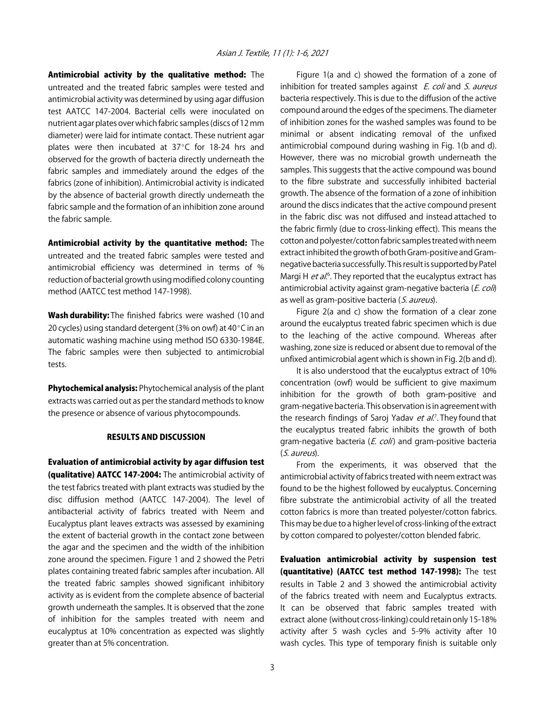Antimicrobial activity by the qualitative method: The untreated and the treated fabric samples were tested and antimicrobial activity was determined by using agar diffusion test AATCC 147-2004. Bacterial cells were inoculated on nutrient agar plates over which fabric samples (discs of 12 mm diameter) were laid for intimate contact. These nutrient agar plates were then incubated at  $37^{\circ}$ C for 18-24 hrs and observed for the growth of bacteria directly underneath the fabric samples and immediately around the edges of the fabrics (zone of inhibition). Antimicrobial activity is indicated by the absence of bacterial growth directly underneath the fabric sample and the formation of an inhibition zone around the fabric sample.

Antimicrobial activity by the quantitative method: The untreated and the treated fabric samples were tested and antimicrobial efficiency was determined in terms of % reduction of bacterial growth using modified colony counting method (AATCC test method 147-1998).

Wash durability: The finished fabrics were washed (10 and 20 cycles) using standard detergent (3% on owf) at  $40^{\circ}$ C in an automatic washing machine using method ISO 6330-1984E. The fabric samples were then subjected to antimicrobial tests.

Phytochemical analysis: Phytochemical analysis of the plant extracts was carried out as per the standard methods to know the presence or absence of various phytocompounds.

#### RESULTS AND DISCUSSION

Evaluation of antimicrobial activity by agar diffusion test (qualitative) AATCC 147-2004: The antimicrobial activity of the test fabrics treated with plant extracts was studied by the disc diffusion method (AATCC 147-2004). The level of antibacterial activity of fabrics treated with Neem and Eucalyptus plant leaves extracts was assessed by examining the extent of bacterial growth in the contact zone between the agar and the specimen and the width of the inhibition zone around the specimen. Figure 1 and 2 showed the Petri plates containing treated fabric samples after incubation. All the treated fabric samples showed significant inhibitory activity as is evident from the complete absence of bacterial growth underneath the samples. It is observed that the zone of inhibition for the samples treated with neem and eucalyptus at 10% concentration as expected was slightly greater than at 5% concentration.

Figure 1(a and c) showed the formation of a zone of inhibition for treated samples against  $E$ . coli and  $S$ . aureus bacteria respectively. This is due to the diffusion of the active compound around the edges of the specimens. The diameter of inhibition zones for the washed samples was found to be minimal or absent indicating removal of the unfixed antimicrobial compound during washing in Fig. 1(b and d). However, there was no microbial growth underneath the samples. This suggests that the active compound was bound to the fibre substrate and successfully inhibited bacterial growth. The absence of the formation of a zone of inhibition around the discs indicates that the active compound present in the fabric disc was not diffused and instead attached to the fabric firmly (due to cross-linking effect). This means the cotton and polyester/cotton fabric samples treated with neem extract inhibited the growth of both Gram-positive and Gramnegative bacteria successfully. This result is supported by Patel Margi H *et al.*<sup>6</sup>. They reported that the eucalyptus extract has antimicrobial activity against gram-negative bacteria (E. coli) as well as gram-positive bacteria (S. aureus).

Figure 2(a and c) show the formation of a clear zone around the eucalyptus treated fabric specimen which is due to the leaching of the active compound. Whereas after washing, zone size is reduced or absent due to removal of the unfixed antimicrobial agent which is shown in Fig. 2(b and d).

It is also understood that the eucalyptus extract of 10% concentration (owf) would be sufficient to give maximum inhibition for the growth of both gram-positive and gram-negative bacteria. This observation is in agreement with the research findings of Saroj Yadav et al.<sup>7</sup>. They found that the eucalyptus treated fabric inhibits the growth of both gram-negative bacteria (*E. coli*) and gram-positive bacteria (S. aureus).

From the experiments, it was observed that the antimicrobial activity of fabrics treated with neem extract was found to be the highest followed by eucalyptus. Concerning fibre substrate the antimicrobial activity of all the treated cotton fabrics is more than treated polyester/cotton fabrics. This may be due to a higher level of cross-linking of the extract by cotton compared to polyester/cotton blended fabric.

Evaluation antimicrobial activity by suspension test (quantitative) (AATCC test method 147-1998): The test results in Table 2 and 3 showed the antimicrobial activity of the fabrics treated with neem and Eucalyptus extracts. It can be observed that fabric samples treated with extract alone (without cross-linking) could retain only 15-18% activity after 5 wash cycles and 5-9% activity after 10 wash cycles. This type of temporary finish is suitable only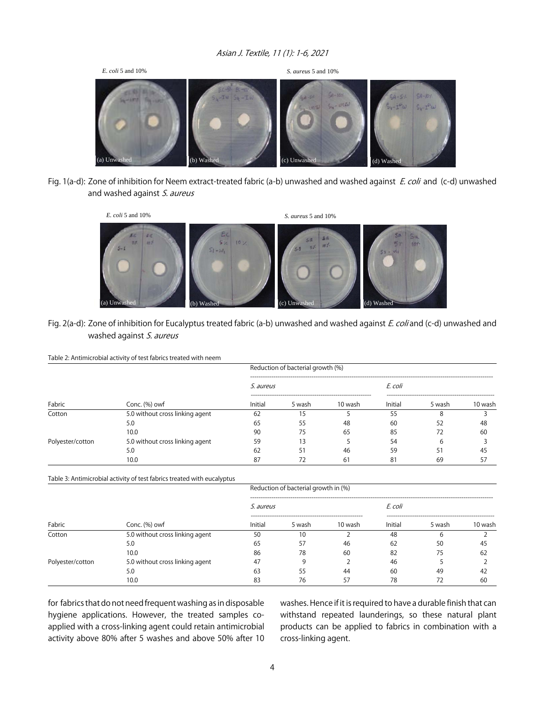#### Asian J. Textile, 11 (1): 1-6, 2021



Fig. 1(a-d): Zone of inhibition for Neem extract-treated fabric (a-b) unwashed and washed against E. coli and (c-d) unwashed and washed against S. aureus



#### Fig. 2(a-d): Zone of inhibition for Eucalyptus treated fabric (a-b) unwashed and washed against E. coli and (c-d) unwashed and washed against S. aureus

#### Table 2: Antimicrobial activity of test fabrics treated with neem

| Fabric           | Conc. (%) owf                   | Reduction of bacterial growth (%) |        |         |         |        |         |  |
|------------------|---------------------------------|-----------------------------------|--------|---------|---------|--------|---------|--|
|                  |                                 | <i>S. aureus</i>                  |        |         | E. coli |        |         |  |
|                  |                                 | Initial                           | 5 wash | 10 wash | Initial | 5 wash | 10 wash |  |
| Cotton           | 5.0 without cross linking agent | 62                                |        |         | 55      |        |         |  |
|                  | 5.0                             | 65                                | 55     | 48      | 60      | 52     | 48      |  |
|                  | 10.0                            | 85<br>90<br>65<br>75<br>72        |        | 60      |         |        |         |  |
| Polyester/cotton | 5.0 without cross linking agent | 59                                | 13     |         | 54      | 6      |         |  |
|                  | 5.0                             | 62                                | 51     | 46      | 59      | 51     | 45      |  |
|                  | 10.0                            | 87                                | 72     | 61      | 81      | 69     | 57      |  |

Table 3: Antimicrobial activity of test fabrics treated with eucalyptus

| Fabric           | Conc. $(\%)$ owf                | Reduction of bacterial growth in (%) |        |         |         |        |         |  |
|------------------|---------------------------------|--------------------------------------|--------|---------|---------|--------|---------|--|
|                  |                                 | S. aureus                            |        |         | E. coli |        |         |  |
|                  |                                 | Initial                              | 5 wash | 10 wash | Initial | 5 wash | 10 wash |  |
| Cotton           | 5.0 without cross linking agent | 50                                   | 10     |         | 48      | n      |         |  |
|                  | 5.0                             | 65                                   | 57     | 46      | 62      | 50     | 45      |  |
|                  | 10.0                            | 86                                   | 78     | 60      | 82      | 75     | 62      |  |
| Polyester/cotton | 5.0 without cross linking agent | 47                                   |        |         | 46      |        |         |  |
|                  | 5.0                             | 63                                   | 55     | 44      | 60      | 49     | 42      |  |
|                  | 10.0                            | 83                                   | 76     | 57      | 78      |        | -60     |  |

for fabrics that do not need frequent washing as in disposable hygiene applications. However, the treated samples coapplied with a cross-linking agent could retain antimicrobial activity above 80% after 5 washes and above 50% after 10 washes. Hence if it is required to have a durable finish that can withstand repeated launderings, so these natural plant products can be applied to fabrics in combination with a cross-linking agent.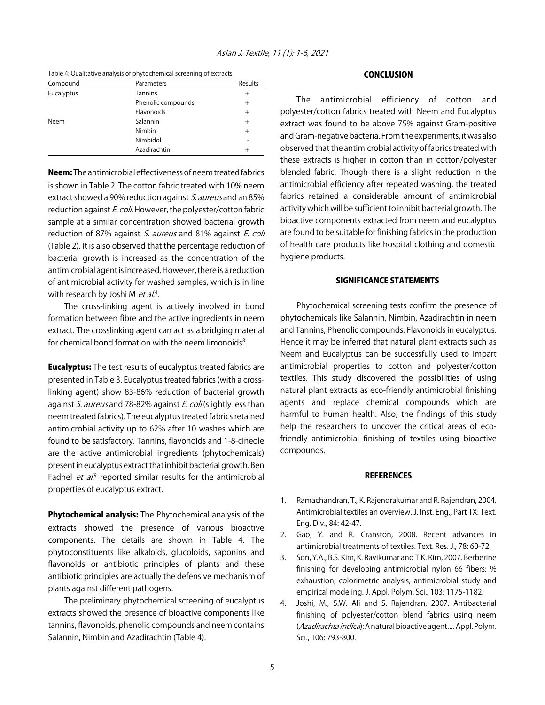Table 4: Qualitative analysis of phytochemical screening of extracts

| Parameters         | Results |
|--------------------|---------|
| <b>Tannins</b>     | $^{+}$  |
| Phenolic compounds | $^{+}$  |
| Flavonoids         | $+$     |
| Salannin           | $+$     |
| Nimbin             | $+$     |
| Nimbidol           |         |
| Azadirachtin       | $^{+}$  |
|                    |         |

Neem: The antimicrobial effectiveness of neem treated fabrics is shown in Table 2. The cotton fabric treated with 10% neem extract showed a 90% reduction against S. aureus and an 85% reduction against E. coli. However, the polyester/cotton fabric sample at a similar concentration showed bacterial growth reduction of 87% against S. aureus and 81% against E. coli (Table 2). It is also observed that the percentage reduction of bacterial growth is increased as the concentration of the antimicrobial agent is increased. However, there is a reduction of antimicrobial activity for washed samples, which is in line with research by Joshi M *et al*.<sup>4</sup>.

The cross-linking agent is actively involved in bond formation between fibre and the active ingredients in neem extract. The crosslinking agent can act as a bridging material for chemical bond formation with the neem limonoids<sup>8</sup>.

**Eucalyptus:** The test results of eucalyptus treated fabrics are presented in Table 3. Eucalyptus treated fabrics (with a crosslinking agent) show 83-86% reduction of bacterial growth against S. aureus and 78-82% against E. coli (slightly less than neem treated fabrics). The eucalyptus treated fabrics retained antimicrobial activity up to 62% after 10 washes which are found to be satisfactory. Tannins, flavonoids and 1-8-cineole are the active antimicrobial ingredients (phytochemicals) present in eucalyptus extract that inhibit bacterial growth. Ben Fadhel et al.<sup>9</sup> reported similar results for the antimicrobial properties of eucalyptus extract.

Phytochemical analysis: The Phytochemical analysis of the extracts showed the presence of various bioactive components. The details are shown in Table 4. The phytoconstituents like alkaloids, glucoloids, saponins and flavonoids or antibiotic principles of plants and these antibiotic principles are actually the defensive mechanism of plants against different pathogens.

The preliminary phytochemical screening of eucalyptus extracts showed the presence of bioactive components like tannins, flavonoids, phenolic compounds and neem contains Salannin, Nimbin and Azadirachtin (Table 4).

#### CONCLUSION

The antimicrobial efficiency of cotton and polyester/cotton fabrics treated with Neem and Eucalyptus extract was found to be above 75% against Gram-positive and Gram-negative bacteria. From the experiments, it was also observed that the antimicrobial activity of fabrics treated with these extracts is higher in cotton than in cotton/polyester blended fabric. Though there is a slight reduction in the antimicrobial efficiency after repeated washing, the treated fabrics retained a considerable amount of antimicrobial activity which will be sufficient to inhibit bacterial growth. The bioactive components extracted from neem and eucalyptus are found to be suitable for finishing fabrics in the production of health care products like hospital clothing and domestic hygiene products.

#### SIGNIFICANCE STATEMENTS

Phytochemical screening tests confirm the presence of phytochemicals like Salannin, Nimbin, Azadirachtin in neem and Tannins, Phenolic compounds, Flavonoids in eucalyptus. Hence it may be inferred that natural plant extracts such as Neem and Eucalyptus can be successfully used to impart antimicrobial properties to cotton and polyester/cotton textiles. This study discovered the possibilities of using natural plant extracts as eco-friendly antimicrobial finishing agents and replace chemical compounds which are harmful to human health. Also, the findings of this study help the researchers to uncover the critical areas of ecofriendly antimicrobial finishing of textiles using bioactive compounds.

#### **REFERENCES**

- 1. Ramachandran, T., K. Rajendrakumar and R. Rajendran, 2004. Antimicrobial textiles an overview. J. Inst. Eng., Part TX: Text. Eng. Div., 84: 42-47.
- 2. Gao, Y. and R. Cranston, 2008. Recent advances in antimicrobial treatments of textiles. Text. Res. J., 78: 60-72.
- 3. Son, Y.A., B.S. Kim, K. Ravikumar and T.K. Kim, 2007. Berberine finishing for developing antimicrobial nylon 66 fibers: % exhaustion, colorimetric analysis, antimicrobial study and empirical modeling. J. Appl. Polym. Sci., 103: 1175-1182.
- 4. Joshi, M., S.W. Ali and S. Rajendran, 2007. Antibacterial finishing of polyester/cotton blend fabrics using neem (Azadirachta indica): A natural bioactive agent. J. Appl. Polym. Sci., 106: 793-800.